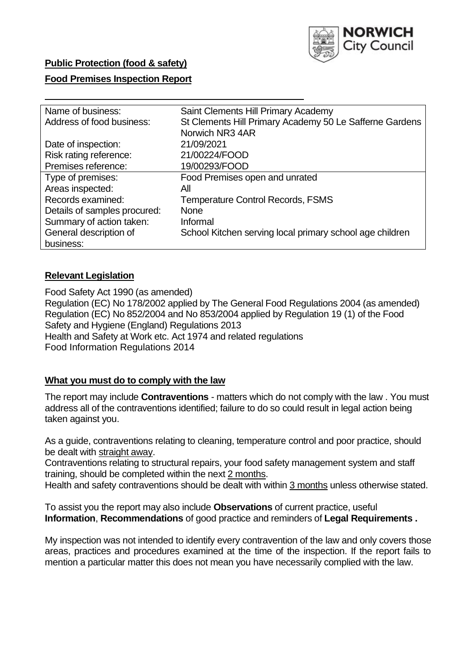

# **Public Protection (food & safety)**

## **Food Premises Inspection Report**

| Name of business:            | Saint Clements Hill Primary Academy                      |  |  |  |  |  |
|------------------------------|----------------------------------------------------------|--|--|--|--|--|
| Address of food business:    | St Clements Hill Primary Academy 50 Le Safferne Gardens  |  |  |  |  |  |
|                              | Norwich NR3 4AR                                          |  |  |  |  |  |
| Date of inspection:          | 21/09/2021                                               |  |  |  |  |  |
| Risk rating reference:       | 21/00224/FOOD                                            |  |  |  |  |  |
| Premises reference:          | 19/00293/FOOD                                            |  |  |  |  |  |
| Type of premises:            | Food Premises open and unrated                           |  |  |  |  |  |
| Areas inspected:             | All                                                      |  |  |  |  |  |
| Records examined:            | <b>Temperature Control Records, FSMS</b>                 |  |  |  |  |  |
| Details of samples procured: | <b>None</b>                                              |  |  |  |  |  |
| Summary of action taken:     | Informal                                                 |  |  |  |  |  |
| General description of       | School Kitchen serving local primary school age children |  |  |  |  |  |
| business:                    |                                                          |  |  |  |  |  |

# **Relevant Legislation**

Food Safety Act 1990 (as amended) Regulation (EC) No 178/2002 applied by The General Food Regulations 2004 (as amended) Regulation (EC) No 852/2004 and No 853/2004 applied by Regulation 19 (1) of the Food Safety and Hygiene (England) Regulations 2013 Health and Safety at Work etc. Act 1974 and related regulations Food Information Regulations 2014

# **What you must do to comply with the law**

The report may include **Contraventions** - matters which do not comply with the law . You must address all of the contraventions identified; failure to do so could result in legal action being taken against you.

As a guide, contraventions relating to cleaning, temperature control and poor practice, should be dealt with straight away.

Contraventions relating to structural repairs, your food safety management system and staff training, should be completed within the next 2 months.

Health and safety contraventions should be dealt with within 3 months unless otherwise stated.

To assist you the report may also include **Observations** of current practice, useful **Information**, **Recommendations** of good practice and reminders of **Legal Requirements .**

My inspection was not intended to identify every contravention of the law and only covers those areas, practices and procedures examined at the time of the inspection. If the report fails to mention a particular matter this does not mean you have necessarily complied with the law.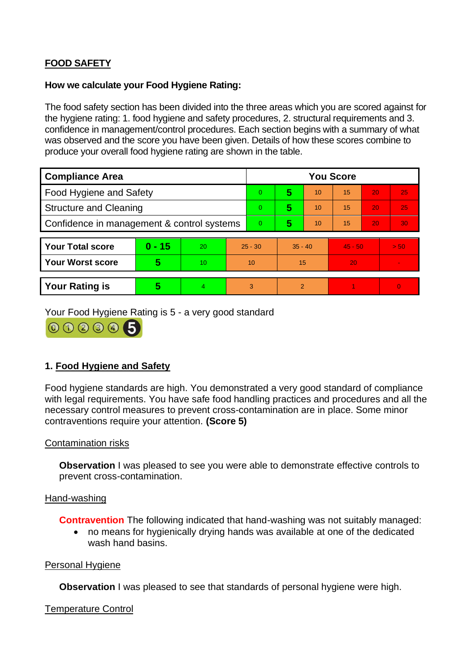# **FOOD SAFETY**

# **How we calculate your Food Hygiene Rating:**

The food safety section has been divided into the three areas which you are scored against for the hygiene rating: 1. food hygiene and safety procedures, 2. structural requirements and 3. confidence in management/control procedures. Each section begins with a summary of what was observed and the score you have been given. Details of how these scores combine to produce your overall food hygiene rating are shown in the table.

| <b>Compliance Area</b>                     |          |                |                | <b>You Score</b> |                |    |           |    |                |  |  |
|--------------------------------------------|----------|----------------|----------------|------------------|----------------|----|-----------|----|----------------|--|--|
| <b>Food Hygiene and Safety</b>             |          |                |                | $\Omega$         | 5              | 10 | 15        | 20 | 25             |  |  |
| <b>Structure and Cleaning</b>              |          |                |                | $\overline{0}$   | 5              | 10 | 15        | 20 | 25             |  |  |
| Confidence in management & control systems |          |                | $\overline{0}$ | 5                | 10             | 15 | 20        | 30 |                |  |  |
|                                            |          |                |                |                  |                |    |           |    |                |  |  |
| <b>Your Total score</b>                    | $0 - 15$ | 20             | $25 - 30$      |                  | $35 - 40$      |    | $45 - 50$ |    | > 50           |  |  |
| <b>Your Worst score</b>                    | 5        | 10             | 10             |                  | 15             |    | 20        |    |                |  |  |
|                                            |          |                |                |                  |                |    |           |    |                |  |  |
| <b>Your Rating is</b>                      | 5        | $\overline{4}$ | 3              |                  | $\overline{2}$ |    |           |    | $\overline{0}$ |  |  |

Your Food Hygiene Rating is 5 - a very good standard



# **1. Food Hygiene and Safety**

Food hygiene standards are high. You demonstrated a very good standard of compliance with legal requirements. You have safe food handling practices and procedures and all the necessary control measures to prevent cross-contamination are in place. Some minor contraventions require your attention. **(Score 5)**

# Contamination risks

**Observation** I was pleased to see you were able to demonstrate effective controls to prevent cross-contamination.

### Hand-washing

**Contravention** The following indicated that hand-washing was not suitably managed:

• no means for hygienically drying hands was available at one of the dedicated wash hand basins.

### Personal Hygiene

**Observation** I was pleased to see that standards of personal hygiene were high.

# Temperature Control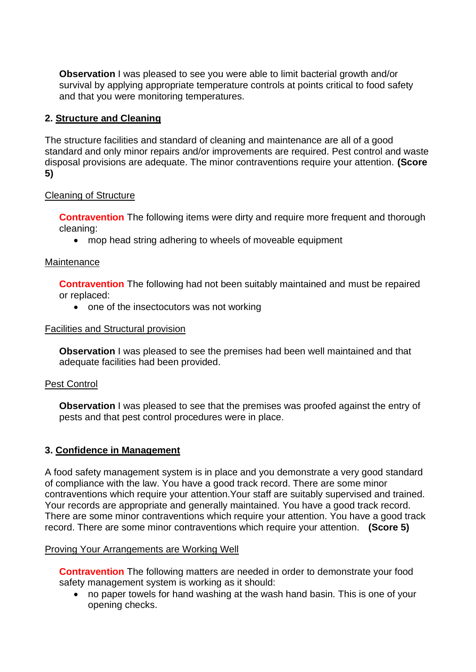**Observation I** was pleased to see you were able to limit bacterial growth and/or survival by applying appropriate temperature controls at points critical to food safety and that you were monitoring temperatures.

# **2. Structure and Cleaning**

The structure facilities and standard of cleaning and maintenance are all of a good standard and only minor repairs and/or improvements are required. Pest control and waste disposal provisions are adequate. The minor contraventions require your attention. **(Score 5)**

# Cleaning of Structure

**Contravention** The following items were dirty and require more frequent and thorough cleaning:

• mop head string adhering to wheels of moveable equipment

# **Maintenance**

**Contravention** The following had not been suitably maintained and must be repaired or replaced:

• one of the insectocutors was not working

## Facilities and Structural provision

**Observation** I was pleased to see the premises had been well maintained and that adequate facilities had been provided.

# Pest Control

**Observation** I was pleased to see that the premises was proofed against the entry of pests and that pest control procedures were in place.

# **3. Confidence in Management**

A food safety management system is in place and you demonstrate a very good standard of compliance with the law. You have a good track record. There are some minor contraventions which require your attention.Your staff are suitably supervised and trained. Your records are appropriate and generally maintained. You have a good track record. There are some minor contraventions which require your attention. You have a good track record. There are some minor contraventions which require your attention. **(Score 5)**

### Proving Your Arrangements are Working Well

**Contravention** The following matters are needed in order to demonstrate your food safety management system is working as it should:

• no paper towels for hand washing at the wash hand basin. This is one of your opening checks.